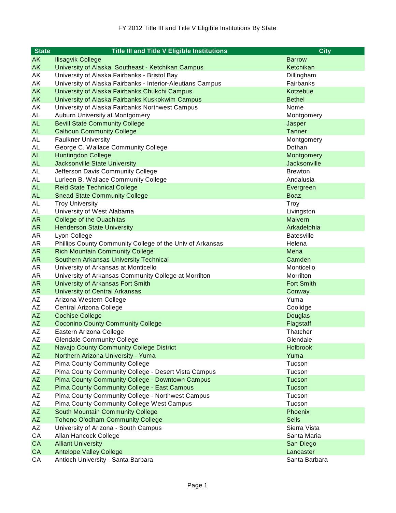| <b>State</b>           | <b>Title III and Title V Eligible Institutions</b>         | <b>City</b>       |
|------------------------|------------------------------------------------------------|-------------------|
| AK                     | <b>Ilisagvik College</b>                                   | <b>Barrow</b>     |
| AK                     | University of Alaska Southeast - Ketchikan Campus          | Ketchikan         |
| AK                     | University of Alaska Fairbanks - Bristol Bay               | Dillingham        |
| AK                     | University of Alaska Fairbanks - Interior-Aleutians Campus | Fairbanks         |
| AK                     | University of Alaska Fairbanks Chukchi Campus              | Kotzebue          |
| AK                     | University of Alaska Fairbanks Kuskokwim Campus            | <b>Bethel</b>     |
| AK                     | University of Alaska Fairbanks Northwest Campus            | Nome              |
| AL                     | Auburn University at Montgomery                            | Montgomery        |
| <b>AL</b>              | <b>Bevill State Community College</b>                      | Jasper            |
| <b>AL</b>              | <b>Calhoun Community College</b>                           | <b>Tanner</b>     |
| AL                     | <b>Faulkner University</b>                                 | Montgomery        |
| AL                     | George C. Wallace Community College                        | Dothan            |
| <b>AL</b>              | <b>Huntingdon College</b>                                  | Montgomery        |
| <b>AL</b>              | <b>Jacksonville State University</b>                       | Jacksonville      |
| AL                     | Jefferson Davis Community College                          | <b>Brewton</b>    |
| AL                     | Lurleen B. Wallace Community College                       | Andalusia         |
| <b>AL</b>              | <b>Reid State Technical College</b>                        | Evergreen         |
| <b>AL</b>              | <b>Snead State Community College</b>                       | <b>Boaz</b>       |
| AL                     | <b>Troy University</b>                                     | Troy              |
| AL                     | University of West Alabama                                 | Livingston        |
| <b>AR</b>              | <b>College of the Ouachitas</b>                            | Malvern           |
| <b>AR</b>              | <b>Henderson State University</b>                          | Arkadelphia       |
| AR                     | Lyon College                                               | <b>Batesville</b> |
| AR                     | Phillips County Community College of the Univ of Arkansas  | Helena            |
| <b>AR</b>              | <b>Rich Mountain Community College</b>                     | Mena              |
| <b>AR</b>              | <b>Southern Arkansas University Technical</b>              | Camden            |
| AR                     | University of Arkansas at Monticello                       | Monticello        |
| <b>AR</b>              | University of Arkansas Community College at Morrilton      | Morrilton         |
| <b>AR</b>              | University of Arkansas Fort Smith                          | <b>Fort Smith</b> |
| <b>AR</b>              | <b>University of Central Arkansas</b>                      | Conway            |
| AZ                     | Arizona Western College                                    | Yuma              |
| AZ                     | Central Arizona College                                    | Coolidge          |
| <b>AZ</b>              | <b>Cochise College</b>                                     | <b>Douglas</b>    |
| <b>AZ</b>              | <b>Coconino County Community College</b>                   | Flagstaff         |
| AZ                     | Eastern Arizona College                                    | Thatcher          |
| AZ                     | <b>Glendale Community College</b>                          | Glendale          |
| <b>AZ</b>              | Navajo County Community College District                   | Holbrook          |
| <b>AZ</b>              | Northern Arizona University - Yuma                         | Yuma              |
| AZ                     | <b>Pima County Community College</b>                       | Tucson            |
| AZ                     | Pima County Community College - Desert Vista Campus        | Tucson            |
| <b>AZ</b>              | Pima County Community College - Downtown Campus            | Tucson            |
| <b>AZ</b>              | <b>Pima County Community College - East Campus</b>         | Tucson            |
| AZ                     | Pima County Community College - Northwest Campus           | Tucson            |
| AZ                     | Pima County Community College West Campus                  | Tucson            |
| $\mathsf{A}\mathsf{Z}$ | South Mountain Community College                           | Phoenix           |
| <b>AZ</b>              | <b>Tohono O'odham Community College</b>                    | <b>Sells</b>      |
| AZ                     | University of Arizona - South Campus                       | Sierra Vista      |
| CA                     | Allan Hancock College                                      | Santa Maria       |
| CA                     | <b>Alliant University</b>                                  | San Diego         |
| <b>CA</b>              | <b>Antelope Valley College</b>                             | Lancaster         |
| CA                     | Antioch University - Santa Barbara                         | Santa Barbara     |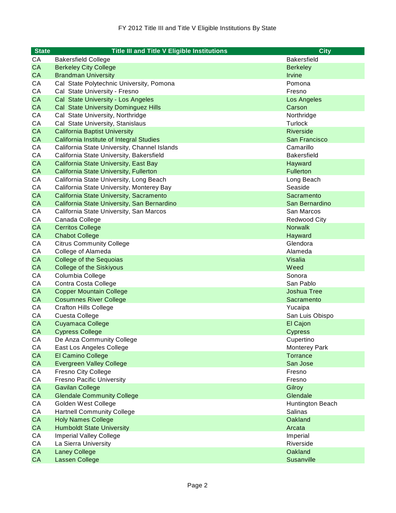| <b>State</b> | <b>Title III and Title V Eligible Institutions</b>     | <b>City</b>          |
|--------------|--------------------------------------------------------|----------------------|
| СA           | <b>Bakersfield College</b>                             | <b>Bakersfield</b>   |
| <b>CA</b>    | <b>Berkeley City College</b>                           | <b>Berkeley</b>      |
| <b>CA</b>    | <b>Brandman University</b>                             | Irvine               |
| CA           | Cal State Polytechnic University, Pomona               | Pomona               |
| CA           | Cal State University - Fresno                          | Fresno               |
| <b>CA</b>    | Cal State University - Los Angeles                     | Los Angeles          |
| CA           | Cal State University Dominguez Hills                   | Carson               |
| CA           | Cal State University, Northridge                       | Northridge           |
| CA           | Cal State University, Stanislaus                       | Turlock              |
| CA           | <b>California Baptist University</b>                   | <b>Riverside</b>     |
| CA           | California Institute of Integral Studies               | San Francisco        |
| CA           | California State University, Channel Islands           | Camarillo            |
| CA           | California State University, Bakersfield               | <b>Bakersfield</b>   |
| <b>CA</b>    | California State University, East Bay                  | Hayward              |
| CA           | California State University, Fullerton                 | <b>Fullerton</b>     |
| CA           | California State University, Long Beach                | Long Beach           |
| CA           | California State University, Monterey Bay              | Seaside              |
| <b>CA</b>    | California State University, Sacramento                | Sacramento           |
| <b>CA</b>    | California State University, San Bernardino            | San Bernardino       |
| CA           | California State University, San Marcos                | San Marcos           |
| CA           | Canada College                                         | <b>Redwood City</b>  |
| <b>CA</b>    | <b>Cerritos College</b>                                | <b>Norwalk</b>       |
| <b>CA</b>    | <b>Chabot College</b>                                  | Hayward              |
| CA           | <b>Citrus Community College</b>                        | Glendora             |
| CA           | College of Alameda                                     | Alameda              |
| <b>CA</b>    | <b>College of the Sequoias</b>                         | Visalia              |
| <b>CA</b>    | <b>College of the Siskiyous</b>                        | Weed                 |
| CA<br>CA     | Columbia College                                       | Sonora<br>San Pablo  |
| CA           | Contra Costa College<br><b>Copper Mountain College</b> | <b>Joshua Tree</b>   |
| <b>CA</b>    | <b>Cosumnes River College</b>                          | Sacramento           |
| CA           | <b>Crafton Hills College</b>                           | Yucaipa              |
| CA           | Cuesta College                                         | San Luis Obispo      |
| CA           | Cuyamaca College                                       | El Cajon             |
| <b>CA</b>    | <b>Cypress College</b>                                 | <b>Cypress</b>       |
| CA           | De Anza Community College                              | Cupertino            |
| CA           | East Los Angeles College                               | <b>Monterey Park</b> |
| CA           | El Camino College                                      | <b>Torrance</b>      |
| <b>CA</b>    | <b>Evergreen Valley College</b>                        | San Jose             |
| CA           | Fresno City College                                    | Fresno               |
| CA           | <b>Fresno Pacific University</b>                       | Fresno               |
| <b>CA</b>    | <b>Gavilan College</b>                                 | Gilroy               |
| <b>CA</b>    | <b>Glendale Community College</b>                      | Glendale             |
| CA           | Golden West College                                    | Huntington Beach     |
| CA           | <b>Hartnell Community College</b>                      | <b>Salinas</b>       |
| CA           | <b>Holy Names College</b>                              | Oakland              |
| CA           | <b>Humboldt State University</b>                       | Arcata               |
| CA           | <b>Imperial Valley College</b>                         | Imperial             |
| CA           | La Sierra University                                   | Riverside            |
| <b>CA</b>    | <b>Laney College</b>                                   | Oakland              |
| <b>CA</b>    | Lassen College                                         | Susanville           |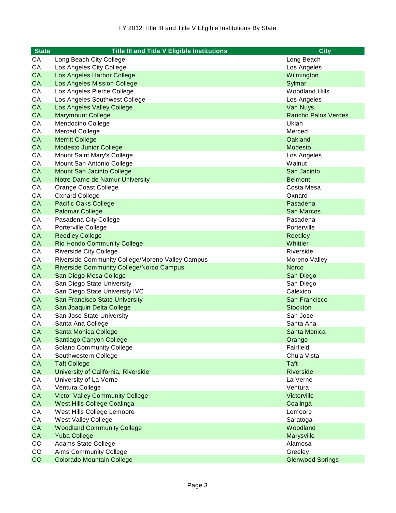| <b>State</b> | <b>Title III and Title V Eligible Institutions</b> | <b>City</b>                |
|--------------|----------------------------------------------------|----------------------------|
| СA           | Long Beach City College                            | Long Beach                 |
| CA           | Los Angeles City College                           | Los Angeles                |
| <b>CA</b>    | Los Angeles Harbor College                         | Wilmington                 |
| <b>CA</b>    | Los Angeles Mission College                        | Sylmar                     |
| CA           | Los Angeles Pierce College                         | <b>Woodland Hills</b>      |
| CA           | Los Angeles Southwest College                      | Los Angeles                |
| CA           | Los Angeles Valley College                         | Van Nuys                   |
| <b>CA</b>    | <b>Marymount College</b>                           | <b>Rancho Palos Verdes</b> |
| CA           | Mendocino College                                  | Ukiah                      |
| CA           | <b>Merced College</b>                              | Merced                     |
| <b>CA</b>    | <b>Merritt College</b>                             | Oakland                    |
| <b>CA</b>    | <b>Modesto Junior College</b>                      | Modesto                    |
| CA           | Mount Saint Mary's College                         | Los Angeles                |
| CA           | Mount San Antonio College                          | Walnut                     |
| <b>CA</b>    | Mount San Jacinto College                          | San Jacinto                |
| <b>CA</b>    | Notre Dame de Namur University                     | <b>Belmont</b>             |
| CA           | Orange Coast College                               | Costa Mesa                 |
| CA           | <b>Oxnard College</b>                              | Oxnard                     |
| <b>CA</b>    | <b>Pacific Oaks College</b>                        | Pasadena                   |
| <b>CA</b>    | <b>Palomar College</b>                             | <b>San Marcos</b>          |
| CA           | Pasadena City College                              | Pasadena                   |
| CA           | Porterville College                                | Porterville                |
| <b>CA</b>    | <b>Reedley College</b>                             | Reedley                    |
| <b>CA</b>    | <b>Rio Hondo Community College</b>                 | Whittier                   |
| CA           | <b>Riverside City College</b>                      | Riverside                  |
| CA           | Riverside Community College/Moreno Valley Campus   | Moreno Valley              |
| <b>CA</b>    | <b>Riverside Community College/Norco Campus</b>    | <b>Norco</b>               |
| <b>CA</b>    | San Diego Mesa College                             | San Diego                  |
| CA           | San Diego State University                         | San Diego                  |
| CA           | San Diego State University IVC                     | Calexico                   |
| <b>CA</b>    | <b>San Francisco State University</b>              | San Francisco              |
| <b>CA</b>    | San Joaquin Delta College                          | <b>Stockton</b>            |
| CA           | San Jose State University                          | San Jose                   |
| CA           | Santa Ana College                                  | Santa Ana                  |
| <b>CA</b>    | Santa Monica College                               | Santa Monica               |
| <b>CA</b>    | Santiago Canyon College                            | Orange                     |
| CA           | Solano Community College                           | Fairfield                  |
| CA           | Southwestern College                               | Chula Vista                |
| CA           | <b>Taft College</b>                                | <b>Taft</b>                |
| <b>CA</b>    | University of California, Riverside                | Riverside                  |
| CA           | University of La Verne                             | La Verne                   |
| CA           | Ventura College                                    | Ventura                    |
| <b>CA</b>    | <b>Victor Valley Community College</b>             | Victorville                |
| <b>CA</b>    | West Hills College Coalinga                        | Coalinga                   |
| CA           | West Hills College Lemoore                         | Lemoore                    |
| CA           | West Valley College                                | Saratoga                   |
| CA           | <b>Woodland Community College</b>                  | Woodland                   |
| CA           | <b>Yuba College</b>                                | Marysville                 |
| CO           | <b>Adams State College</b>                         | Alamosa                    |
| CO           | Aims Community College                             | Greeley                    |
| CO           | <b>Colorado Mountain College</b>                   | <b>Glenwood Springs</b>    |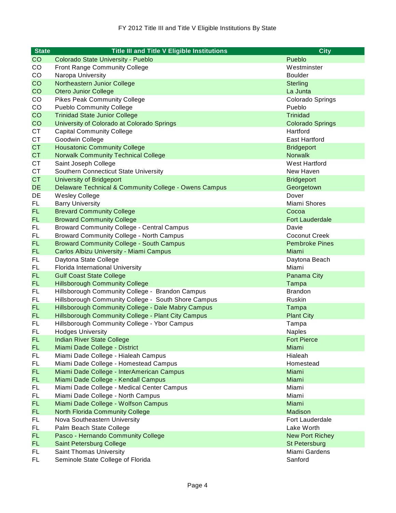| <b>State</b> | <b>Title III and Title V Eligible Institutions</b>    | <b>City</b>             |
|--------------|-------------------------------------------------------|-------------------------|
| CO           | Colorado State University - Pueblo                    | Pueblo                  |
| CO           | Front Range Community College                         | Westminster             |
| CO           | Naropa University                                     | <b>Boulder</b>          |
| CO           | Northeastern Junior College                           | <b>Sterling</b>         |
| CO           | <b>Otero Junior College</b>                           | La Junta                |
| CO           | <b>Pikes Peak Community College</b>                   | Colorado Springs        |
| CO           | <b>Pueblo Community College</b>                       | Pueblo                  |
| CO           | <b>Trinidad State Junior College</b>                  | <b>Trinidad</b>         |
| CO           | University of Colorado at Colorado Springs            | <b>Colorado Springs</b> |
| CT           | <b>Capital Community College</b>                      | Hartford                |
| <b>CT</b>    | Goodwin College                                       | <b>East Hartford</b>    |
| <b>CT</b>    | <b>Housatonic Community College</b>                   | <b>Bridgeport</b>       |
| <b>CT</b>    | <b>Norwalk Community Technical College</b>            | <b>Norwalk</b>          |
| CT           | Saint Joseph College                                  | West Hartford           |
| <b>CT</b>    | Southern Connecticut State University                 | New Haven               |
| <b>CT</b>    | <b>University of Bridgeport</b>                       | <b>Bridgeport</b>       |
| <b>DE</b>    | Delaware Technical & Community College - Owens Campus | Georgetown              |
| DE           | Wesley College                                        | Dover                   |
| <b>FL</b>    | <b>Barry University</b>                               | Miami Shores            |
| <b>FL</b>    | <b>Brevard Community College</b>                      | Cocoa                   |
| <b>FL</b>    | <b>Broward Community College</b>                      | <b>Fort Lauderdale</b>  |
| FL           | <b>Broward Community College - Central Campus</b>     | Davie                   |
| <b>FL</b>    | <b>Broward Community College - North Campus</b>       | <b>Coconut Creek</b>    |
| <b>FL</b>    | <b>Broward Community College - South Campus</b>       | <b>Pembroke Pines</b>   |
| <b>FL</b>    | Carlos Albizu University - Miami Campus               | Miami                   |
| FL           | Daytona State College                                 | Daytona Beach           |
| FL           | Florida International University                      | Miami                   |
| <b>FL</b>    | <b>Gulf Coast State College</b>                       | Panama City             |
| <b>FL</b>    | <b>Hillsborough Community College</b>                 | Tampa                   |
| <b>FL</b>    | Hillsborough Community College - Brandon Campus       | <b>Brandon</b>          |
| <b>FL</b>    | Hillsborough Community College - South Shore Campus   | Ruskin                  |
| <b>FL</b>    | Hillsborough Community College - Dale Mabry Campus    | Tampa                   |
| <b>FL</b>    | Hillsborough Community College - Plant City Campus    | <b>Plant City</b>       |
| FL           | Hillsborough Community College - Ybor Campus          | Tampa                   |
| FL           | <b>Hodges University</b>                              | Naples                  |
| <b>FL</b>    | <b>Indian River State College</b>                     | <b>Fort Pierce</b>      |
| <b>FL</b>    | Miami Dade College - District                         | Miami                   |
| FL.          | Miami Dade College - Hialeah Campus                   | Hialeah                 |
| FL.          | Miami Dade College - Homestead Campus                 | Homestead               |
| <b>FL</b>    | Miami Dade College - InterAmerican Campus             | Miami                   |
| <b>FL</b>    | Miami Dade College - Kendall Campus                   | Miami                   |
| FL.          | Miami Dade College - Medical Center Campus            | Miami                   |
| FL.          | Miami Dade College - North Campus                     | Miami                   |
| <b>FL</b>    | Miami Dade College - Wolfson Campus                   | Miami                   |
| <b>FL</b>    | <b>North Florida Community College</b>                | Madison                 |
| FL           | Nova Southeastern University                          | Fort Lauderdale         |
| FL.          | Palm Beach State College                              | Lake Worth              |
| <b>FL</b>    | Pasco - Hernando Community College                    | <b>New Port Richey</b>  |
| FL.          | Saint Petersburg College                              | St Petersburg           |
| <b>FL</b>    | <b>Saint Thomas University</b>                        | Miami Gardens           |
| FL.          | Seminole State College of Florida                     | Sanford                 |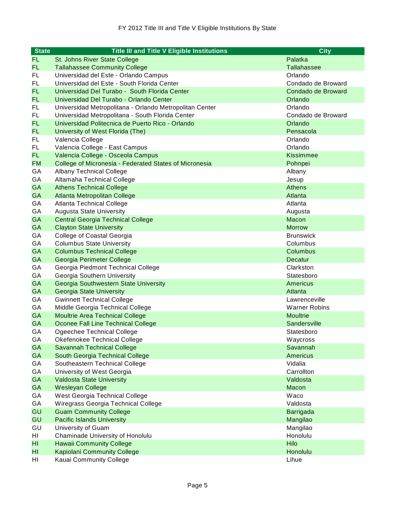| <b>State</b> | <b>Title III and Title V Eligible Institutions</b>      | <b>City</b>          |
|--------------|---------------------------------------------------------|----------------------|
| FL           | St. Johns River State College                           | Palatka              |
| FL           | <b>Tallahassee Community College</b>                    | <b>Tallahassee</b>   |
| FL           | Universidad del Este - Orlando Campus                   | Orlando              |
| FL           | Universidad del Este - South Florida Center             | Condado de Broward   |
| FL           | Universidad Del Turabo - South Florida Center           | Condado de Broward   |
| <b>FL</b>    | Universidad Del Turabo - Orlando Center                 | Orlando              |
| FL           | Universidad Metropolitana - Orlando Metropolitan Center | Orlando              |
| <b>FL</b>    | Universidad Metropolitana - South Florida Center        | Condado de Broward   |
| <b>FL</b>    | Universidad Politecnica de Puerto Rico - Orlando        | Orlando              |
| <b>FL</b>    | University of West Florida (The)                        | Pensacola            |
| FL           | Valencia College                                        | Orlando              |
| FL           | Valencia College - East Campus                          | Orlando              |
| FL           | Valencia College - Osceola Campus                       | Kissimmee            |
| <b>FM</b>    | College of Micronesia - Federated States of Micronesia  | Pohnpei              |
| GA           | <b>Albany Technical College</b>                         | Albany               |
| GA           | Altamaha Technical College                              | Jesup                |
| <b>GA</b>    | <b>Athens Technical College</b>                         | Athens               |
| <b>GA</b>    | Atlanta Metropolitan College                            | Atlanta              |
| GA           | <b>Atlanta Technical College</b>                        | Atlanta              |
| GA           | <b>Augusta State University</b>                         | Augusta              |
| <b>GA</b>    | <b>Central Georgia Technical College</b>                | Macon                |
| <b>GA</b>    | <b>Clayton State University</b>                         | <b>Morrow</b>        |
| GA           | College of Coastal Georgia                              | <b>Brunswick</b>     |
| GA           | <b>Columbus State University</b>                        | Columbus             |
| <b>GA</b>    | <b>Columbus Technical College</b>                       | Columbus             |
| <b>GA</b>    | Georgia Perimeter College                               | Decatur              |
| GA           | Georgia Piedmont Technical College                      | Clarkston            |
| GА           | Georgia Southern University                             | Statesboro           |
| <b>GA</b>    | Georgia Southwestern State University                   | Americus             |
| <b>GA</b>    | Georgia State University                                | Atlanta              |
| GA           | <b>Gwinnett Technical College</b>                       | Lawrenceville        |
| GA           | Middle Georgia Technical College                        | <b>Warner Robins</b> |
| <b>GA</b>    | <b>Moultrie Area Technical College</b>                  | <b>Moultrie</b>      |
| <b>GA</b>    | Oconee Fall Line Technical College                      | Sandersville         |
| GA           | Ogeechee Technical College                              | Statesboro           |
| GA           | Okefenokee Technical College                            | Waycross             |
| <b>GA</b>    | <b>Savannah Technical College</b>                       | Savannah             |
| GA           | South Georgia Technical College                         | <b>Americus</b>      |
| GA           | Southeastern Technical College                          | Vidalia              |
| GA           | University of West Georgia                              | Carrollton           |
| GA           | <b>Valdosta State University</b>                        | Valdosta             |
| GA           | Wesleyan College                                        | Macon                |
| GA           | West Georgia Technical College                          | Waco                 |
| GA           | Wiregrass Georgia Technical College                     | Valdosta             |
| GU           | <b>Guam Community College</b>                           | Barrigada            |
| GU           | <b>Pacific Islands University</b>                       | Mangilao             |
| GU           | University of Guam                                      | Mangilao             |
| HI           | Chaminade University of Honolulu                        | Honolulu             |
| HI           | <b>Hawaii Community College</b>                         | Hilo                 |
| HI           | <b>Kapiolani Community College</b>                      | Honolulu             |
| HI           | Kauai Community College                                 | Lihue                |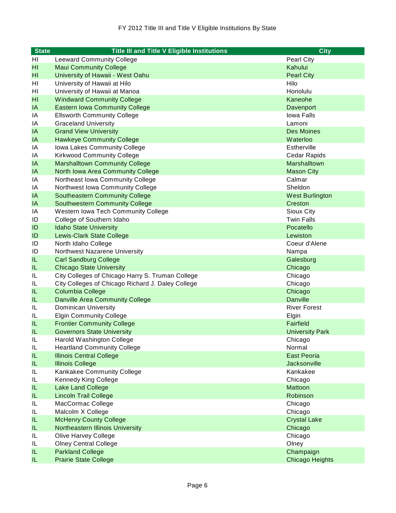| <b>State</b> | <b>Title III and Title V Eligible Institutions</b>                    | <b>City</b>            |
|--------------|-----------------------------------------------------------------------|------------------------|
| HI           | <b>Leeward Community College</b>                                      | <b>Pearl City</b>      |
| HI           | <b>Maui Community College</b>                                         | Kahului                |
| HI           | University of Hawaii - West Oahu                                      | <b>Pearl City</b>      |
| HI           | University of Hawaii at Hilo                                          | Hilo                   |
| HI           | University of Hawaii at Manoa                                         | Honolulu               |
| HI           | <b>Windward Community College</b>                                     | Kaneohe                |
| IA           | <b>Eastern Iowa Community College</b>                                 | Davenport              |
| ΙA           | <b>Ellsworth Community College</b>                                    | Iowa Falls             |
| IA           | <b>Graceland University</b>                                           | Lamoni                 |
| IA           | <b>Grand View University</b>                                          | Des Moines             |
| IA           | <b>Hawkeye Community College</b>                                      | Waterloo               |
| IA           | Iowa Lakes Community College                                          | Estherville            |
| IA           | <b>Kirkwood Community College</b>                                     | Cedar Rapids           |
| IA           | <b>Marshalltown Community College</b>                                 | Marshalltown           |
| IA           | North Iowa Area Community College                                     | <b>Mason City</b>      |
| IA           | Northeast Iowa Community College                                      | Calmar                 |
| IA           | Northwest Iowa Community College                                      | Sheldon                |
| IA           | <b>Southeastern Community College</b>                                 | <b>West Burlington</b> |
| IA           | <b>Southwestern Community College</b>                                 | Creston                |
| IA           | Western Iowa Tech Community College                                   | Sioux City             |
| ID           | College of Southern Idaho                                             | <b>Twin Falls</b>      |
| ID           | <b>Idaho State University</b>                                         | Pocatello              |
| ID           | <b>Lewis-Clark State College</b>                                      | Lewiston               |
| ID           | North Idaho College                                                   | Coeur d'Alene          |
| ID           | Northwest Nazarene University                                         | Nampa                  |
| IL           | <b>Carl Sandburg College</b>                                          | Galesburg              |
| IL           | <b>Chicago State University</b>                                       | Chicago                |
| IL           | City Colleges of Chicago Harry S. Truman College                      | Chicago                |
| IL<br>IL     | City Colleges of Chicago Richard J. Daley College<br>Columbia College | Chicago<br>Chicago     |
| IL           | <b>Danville Area Community College</b>                                | <b>Danville</b>        |
| IL           | Dominican University                                                  | <b>River Forest</b>    |
| IL           | <b>Elgin Community College</b>                                        | Elgin                  |
| IL           | <b>Frontier Community College</b>                                     | Fairfield              |
| IL           | <b>Governors State University</b>                                     | <b>University Park</b> |
| IL           | Harold Washington College                                             | Chicago                |
| IL           | <b>Heartland Community College</b>                                    | Normal                 |
| IL           | <b>Illinois Central College</b>                                       | <b>East Peoria</b>     |
| IL           | <b>Illinois College</b>                                               | <b>Jacksonville</b>    |
| IL           | Kankakee Community College                                            | Kankakee               |
| IL           | Kennedy King College                                                  | Chicago                |
| IL           | <b>Lake Land College</b>                                              | Mattoon                |
| IL.          | <b>Lincoln Trail College</b>                                          | Robinson               |
| IL           | MacCormac College                                                     | Chicago                |
| IL           | Malcolm X College                                                     | Chicago                |
| IL           | <b>McHenry County College</b>                                         | <b>Crystal Lake</b>    |
| IL           | <b>Northeastern Illinois University</b>                               | Chicago                |
| IL           | Olive Harvey College                                                  | Chicago                |
| IL           | <b>Olney Central College</b>                                          | Olney                  |
| IL           | <b>Parkland College</b>                                               | Champaign              |
| IL           | <b>Prairie State College</b>                                          | <b>Chicago Heights</b> |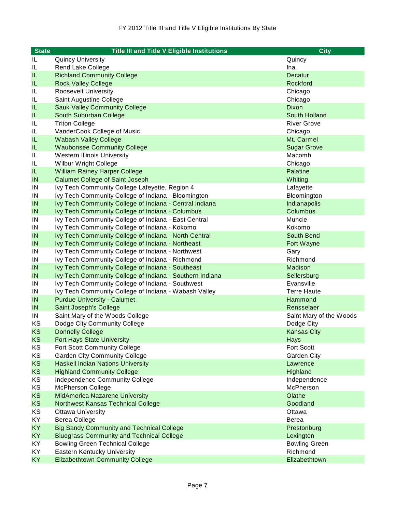| <b>State</b> | <b>Title III and Title V Eligible Institutions</b>       | <b>City</b>             |
|--------------|----------------------------------------------------------|-------------------------|
| IL           | <b>Quincy University</b>                                 | Quincy                  |
| IL           | Rend Lake College                                        | Ina                     |
| IL           | <b>Richland Community College</b>                        | <b>Decatur</b>          |
| IL           | <b>Rock Valley College</b>                               | Rockford                |
| IL           | <b>Roosevelt University</b>                              | Chicago                 |
| IL           | Saint Augustine College                                  | Chicago                 |
| IL           | <b>Sauk Valley Community College</b>                     | <b>Dixon</b>            |
| IL           | South Suburban College                                   | South Holland           |
| IL           | <b>Triton College</b>                                    | <b>River Grove</b>      |
| IL           | VanderCook College of Music                              | Chicago                 |
| IL.          | <b>Wabash Valley College</b>                             | Mt. Carmel              |
| IL.          | <b>Waubonsee Community College</b>                       | <b>Sugar Grove</b>      |
| IL           | <b>Western Illinois University</b>                       | Macomb                  |
| IL           | Wilbur Wright College                                    | Chicago                 |
| IL           | <b>William Rainey Harper College</b>                     | Palatine                |
| IN           | <b>Calumet College of Saint Joseph</b>                   | Whiting                 |
| IN           | Ivy Tech Community College Lafeyette, Region 4           | Lafayette               |
| IN           | Ivy Tech Community College of Indiana - Bloomington      | Bloomington             |
| IN           | Ivy Tech Community College of Indiana - Central Indiana  | Indianapolis            |
| IN           | Ivy Tech Community College of Indiana - Columbus         | <b>Columbus</b>         |
| IN           | Ivy Tech Community College of Indiana - East Central     | Muncie                  |
| IN           | Ivy Tech Community College of Indiana - Kokomo           | Kokomo                  |
| IN           | Ivy Tech Community College of Indiana - North Central    | South Bend              |
| IN           | Ivy Tech Community College of Indiana - Northeast        | Fort Wayne              |
| IN           | Ivy Tech Community College of Indiana - Northwest        | Gary                    |
| IN           | Ivy Tech Community College of Indiana - Richmond         | Richmond                |
| IN           | Ivy Tech Community College of Indiana - Southeast        | Madison                 |
| IN           | Ivy Tech Community College of Indiana - Southern Indiana | Sellersburg             |
| IN           | Ivy Tech Community College of Indiana - Southwest        | Evansville              |
| IN           | Ivy Tech Community College of Indiana - Wabash Valley    | <b>Terre Haute</b>      |
| IN           | <b>Purdue University - Calumet</b>                       | Hammond                 |
| IN           | Saint Joseph's College                                   | Rensselaer              |
| IN           | Saint Mary of the Woods College                          | Saint Mary of the Woods |
| ΚS           | Dodge City Community College                             | Dodge City              |
| KS           | <b>Donnelly College</b>                                  | <b>Kansas City</b>      |
| KS           | <b>Fort Hays State University</b>                        | Hays                    |
| KS           | Fort Scott Community College                             | <b>Fort Scott</b>       |
| KS           | <b>Garden City Community College</b>                     | Garden City             |
| <b>KS</b>    | <b>Haskell Indian Nations University</b>                 | Lawrence                |
| KS           | <b>Highland Community College</b>                        | Highland                |
| ΚS           | Independence Community College                           | Independence            |
| KS           | <b>McPherson College</b>                                 | McPherson               |
| <b>KS</b>    | MidAmerica Nazarene University                           | Olathe                  |
| <b>KS</b>    | <b>Northwest Kansas Technical College</b>                | Goodland                |
| KS           | <b>Ottawa University</b>                                 | Ottawa                  |
| KY           | <b>Berea College</b>                                     | Berea                   |
| KY           | <b>Big Sandy Community and Technical College</b>         | Prestonburg             |
| <b>KY</b>    | <b>Bluegrass Community and Technical College</b>         | Lexington               |
| KY           | <b>Bowling Green Technical College</b>                   | <b>Bowling Green</b>    |
| KY           | <b>Eastern Kentucky University</b>                       | Richmond                |
| <b>KY</b>    | <b>Elizabethtown Community College</b>                   | Elizabethtown           |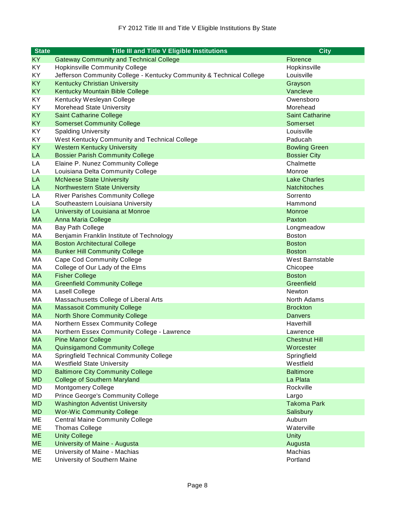| <b>State</b> | <b>Title III and Title V Eligible Institutions</b>                   | <b>City</b>            |
|--------------|----------------------------------------------------------------------|------------------------|
| KY.          | <b>Gateway Community and Technical College</b>                       | Florence               |
| KY           | <b>Hopkinsville Community College</b>                                | Hopkinsville           |
| KY.          | Jefferson Community College - Kentucky Community & Technical College | Louisville             |
| <b>KY</b>    | <b>Kentucky Christian University</b>                                 | Grayson                |
| <b>KY</b>    | Kentucky Mountain Bible College                                      | Vancleve               |
| KY           | Kentucky Wesleyan College                                            | Owensboro              |
| KY           | Morehead State University                                            | Morehead               |
| <b>KY</b>    | <b>Saint Catharine College</b>                                       | <b>Saint Catharine</b> |
| <b>KY</b>    | <b>Somerset Community College</b>                                    | Somerset               |
| KY           | <b>Spalding University</b>                                           | Louisville             |
| KY           | West Kentucky Community and Technical College                        | Paducah                |
| <b>KY</b>    | <b>Western Kentucky University</b>                                   | <b>Bowling Green</b>   |
| LA           | <b>Bossier Parish Community College</b>                              | <b>Bossier City</b>    |
| LA           | Elaine P. Nunez Community College                                    | Chalmette              |
| LA           | Louisiana Delta Community College                                    | Monroe                 |
| LA           | <b>McNeese State University</b>                                      | <b>Lake Charles</b>    |
| LA           | <b>Northwestern State University</b>                                 | <b>Natchitoches</b>    |
| LA           | <b>River Parishes Community College</b>                              | Sorrento               |
| LA           | Southeastern Louisiana University                                    | Hammond                |
| LA           | University of Louisiana at Monroe                                    | <b>Monroe</b>          |
| <b>MA</b>    | Anna Maria College                                                   | Paxton                 |
| МA           | <b>Bay Path College</b>                                              | Longmeadow             |
| МA           | Benjamin Franklin Institute of Technology                            | <b>Boston</b>          |
| <b>MA</b>    | <b>Boston Architectural College</b>                                  | <b>Boston</b>          |
| <b>MA</b>    | <b>Bunker Hill Community College</b>                                 | <b>Boston</b>          |
| МA           | <b>Cape Cod Community College</b>                                    | West Barnstable        |
| MA           | College of Our Lady of the Elms                                      | Chicopee               |
| <b>MA</b>    | <b>Fisher College</b>                                                | <b>Boston</b>          |
| <b>MA</b>    | <b>Greenfield Community College</b>                                  | Greenfield             |
| МA           | Lasell College                                                       | Newton                 |
| МA           | Massachusetts College of Liberal Arts                                | North Adams            |
| <b>MA</b>    | <b>Massasoit Community College</b>                                   | <b>Brockton</b>        |
| <b>MA</b>    | <b>North Shore Community College</b>                                 | <b>Danvers</b>         |
| MA           | Northern Essex Community College                                     | Haverhill              |
| МA           | Northern Essex Community College - Lawrence                          | Lawrence               |
| MA           | <b>Pine Manor College</b>                                            | <b>Chestnut Hill</b>   |
| <b>MA</b>    | <b>Quinsigamond Community College</b>                                | Worcester              |
| МA           | <b>Springfield Technical Community College</b>                       | Springfield            |
| МA           | <b>Westfield State University</b>                                    | Westfield              |
| <b>MD</b>    | <b>Baltimore City Community College</b>                              | <b>Baltimore</b>       |
| <b>MD</b>    | <b>College of Southern Maryland</b>                                  | La Plata               |
| MD           | <b>Montgomery College</b>                                            | Rockville              |
| MD           | <b>Prince George's Community College</b>                             | Largo                  |
| <b>MD</b>    | <b>Washington Adventist University</b>                               | <b>Takoma Park</b>     |
| <b>MD</b>    | <b>Wor-Wic Community College</b>                                     | Salisbury              |
| ME           | <b>Central Maine Community College</b>                               | Auburn                 |
| ME           | <b>Thomas College</b>                                                | Waterville             |
| <b>ME</b>    | <b>Unity College</b>                                                 | <b>Unity</b>           |
| <b>ME</b>    | <b>University of Maine - Augusta</b>                                 | Augusta                |
| МE           | University of Maine - Machias                                        | Machias                |
| ME           | University of Southern Maine                                         | Portland               |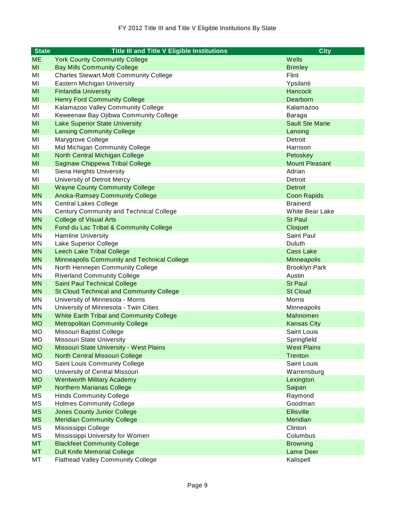| <b>State</b> | <b>Title III and Title V Eligible Institutions</b> | <b>City</b>            |
|--------------|----------------------------------------------------|------------------------|
| <b>ME</b>    | <b>York County Community College</b>               | Wells                  |
| MI           | <b>Bay Mills Community College</b>                 | <b>Brimley</b>         |
| MI           | <b>Charles Stewart Mott Community College</b>      | Flint                  |
| MI           | Eastern Michigan University                        | Ypsilanti              |
| MI           | <b>Finlandia University</b>                        | <b>Hancock</b>         |
| MI           | <b>Henry Ford Community College</b>                | Dearborn               |
| MI           | Kalamazoo Valley Community College                 | Kalamazoo              |
| MI           | Keweenaw Bay Ojibwa Community College              | Baraga                 |
| MI           | <b>Lake Superior State University</b>              | <b>Sault Ste Marie</b> |
| MI           | <b>Lansing Community College</b>                   | Lansing                |
| MI           | Marygrove College                                  | Detroit                |
| MI           | Mid Michigan Community College                     | Harrison               |
| MI           | North Central Michigan College                     | Petoskey               |
| MI           | Saginaw Chippewa Tribal College                    | <b>Mount Pleasant</b>  |
| MI           | Siena Heights University                           | Adrian                 |
| MI           | University of Detroit Mercy                        | Detroit                |
| MI           | <b>Wayne County Community College</b>              | <b>Detroit</b>         |
| <b>MN</b>    | <b>Anoka-Ramsey Community College</b>              | <b>Coon Rapids</b>     |
| <b>MN</b>    | <b>Central Lakes College</b>                       | <b>Brainerd</b>        |
| ΜN           | <b>Century Community and Technical College</b>     | <b>White Bear Lake</b> |
| <b>MN</b>    | <b>College of Visual Arts</b>                      | <b>St Paul</b>         |
| <b>MN</b>    | Fond du Lac Tribal & Community College             | Cloquet                |
| MN           | <b>Hamline University</b>                          | Saint Paul             |
| ΜN           | Lake Superior College                              | Duluth                 |
| <b>MN</b>    | <b>Leech Lake Tribal College</b>                   | <b>Cass Lake</b>       |
| <b>MN</b>    | <b>Minneapolis Community and Technical College</b> | Minneapolis            |
| ΜN           | North Hennepin Community College                   | <b>Brooklyn Park</b>   |
| ΜN           | <b>Riverland Community College</b>                 | Austin                 |
| <b>MN</b>    | <b>Saint Paul Technical College</b>                | <b>St Paul</b>         |
| <b>MN</b>    | <b>St Cloud Technical and Community College</b>    | <b>St Cloud</b>        |
| ΜN           | University of Minnesota - Morris                   | <b>Morris</b>          |
| ΜN           | University of Minnesota - Twin Cities              | Minneapolis            |
| <b>MN</b>    | <b>White Earth Tribal and Community College</b>    | Mahnomen               |
| <b>MO</b>    | <b>Metropolitan Community College</b>              | <b>Kansas City</b>     |
| <b>MO</b>    | Missouri Baptist College                           | <b>Saint Louis</b>     |
| <b>MO</b>    | Missouri State University                          | Springfield            |
| <b>MO</b>    | Missouri State University - West Plains            | <b>West Plains</b>     |
| <b>MO</b>    | <b>North Central Missouri College</b>              | <b>Trenton</b>         |
| <b>MO</b>    | Saint Louis Community College                      | Saint Louis            |
| MO           | University of Central Missouri                     | Warrensburg            |
| <b>MO</b>    | <b>Wentworth Military Academy</b>                  | Lexington              |
| <b>MP</b>    | <b>Northern Marianas College</b>                   | Saipan                 |
| МS           | <b>Hinds Community College</b>                     | Raymond                |
| MS           | <b>Holmes Community College</b>                    | Goodman                |
| <b>MS</b>    | <b>Jones County Junior College</b>                 | <b>Ellisville</b>      |
| <b>MS</b>    | <b>Meridian Community College</b>                  | Meridian               |
| МS           | Mississippi College                                | Clinton                |
| MS           | Mississippi University for Women                   | Columbus               |
| <b>MT</b>    | <b>Blackfeet Community College</b>                 | <b>Browning</b>        |
| <b>MT</b>    | <b>Dull Knife Memorial College</b>                 | <b>Lame Deer</b>       |
| МT           | <b>Flathead Valley Community College</b>           | Kalispell              |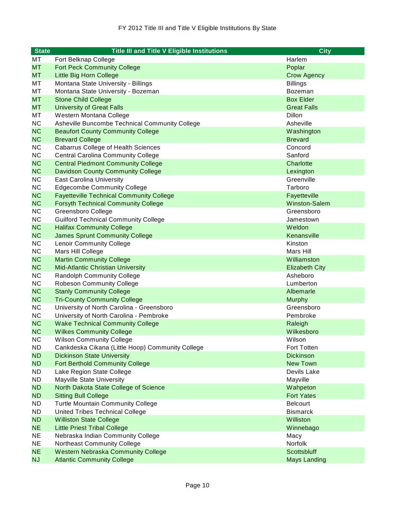| <b>State</b> | <b>Title III and Title V Eligible Institutions</b> | <b>City</b>           |
|--------------|----------------------------------------------------|-----------------------|
| МT           | Fort Belknap College                               | Harlem                |
| <b>MT</b>    | <b>Fort Peck Community College</b>                 | Poplar                |
| <b>MT</b>    | Little Big Horn College                            | <b>Crow Agency</b>    |
| МT           | Montana State University - Billings                | <b>Billings</b>       |
| МT           | Montana State University - Bozeman                 | Bozeman               |
| <b>MT</b>    | <b>Stone Child College</b>                         | <b>Box Elder</b>      |
| <b>MT</b>    | <b>University of Great Falls</b>                   | <b>Great Falls</b>    |
| МT           | Western Montana College                            | Dillon                |
| <b>NC</b>    | Asheville Buncombe Technical Community College     | Asheville             |
| <b>NC</b>    | <b>Beaufort County Community College</b>           | Washington            |
| <b>NC</b>    | <b>Brevard College</b>                             | <b>Brevard</b>        |
| <b>NC</b>    | <b>Cabarrus College of Health Sciences</b>         | Concord               |
| <b>NC</b>    | <b>Central Carolina Community College</b>          | Sanford               |
| <b>NC</b>    | <b>Central Piedmont Community College</b>          | Charlotte             |
| <b>NC</b>    | <b>Davidson County Community College</b>           | Lexington             |
| <b>NC</b>    | <b>East Carolina University</b>                    | Greenville            |
| <b>NC</b>    | <b>Edgecombe Community College</b>                 | Tarboro               |
| <b>NC</b>    | <b>Fayetteville Technical Community College</b>    | Fayetteville          |
| <b>NC</b>    | <b>Forsyth Technical Community College</b>         | Winston-Salem         |
| <b>NC</b>    | Greensboro College                                 | Greensboro            |
| <b>NC</b>    | <b>Guilford Technical Community College</b>        | Jamestown             |
| <b>NC</b>    | <b>Halifax Community College</b>                   | Weldon                |
| <b>NC</b>    | <b>James Sprunt Community College</b>              | Kenansville           |
| <b>NC</b>    | <b>Lenoir Community College</b>                    | Kinston               |
| <b>NC</b>    | Mars Hill College                                  | Mars Hill             |
| <b>NC</b>    | <b>Martin Community College</b>                    | Williamston           |
| <b>NC</b>    | <b>Mid-Atlantic Christian University</b>           | <b>Elizabeth City</b> |
| <b>NC</b>    | <b>Randolph Community College</b>                  | Asheboro              |
| <b>NC</b>    | <b>Robeson Community College</b>                   | Lumberton             |
| <b>NC</b>    | <b>Stanly Community College</b>                    | Albemarle             |
| <b>NC</b>    | <b>Tri-County Community College</b>                | <b>Murphy</b>         |
| <b>NC</b>    | University of North Carolina - Greensboro          | Greensboro            |
| <b>NC</b>    | University of North Carolina - Pembroke            | Pembroke              |
| <b>NC</b>    | <b>Wake Technical Community College</b>            | Raleigh               |
| <b>NC</b>    | <b>Wilkes Community College</b>                    | Wilkesboro            |
| <b>NC</b>    | <b>Wilson Community College</b>                    | Wilson                |
| <b>ND</b>    | Cankdeska Cikana (Little Hoop) Community College   | <b>Fort Totten</b>    |
| <b>ND</b>    | <b>Dickinson State University</b>                  | <b>Dickinson</b>      |
| <b>ND</b>    | <b>Fort Berthold Community College</b>             | <b>New Town</b>       |
| <b>ND</b>    | Lake Region State College                          | Devils Lake           |
| ND.          | <b>Mayville State University</b>                   | Mayville              |
| <b>ND</b>    | North Dakota State College of Science              | Wahpeton              |
| <b>ND</b>    | <b>Sitting Bull College</b>                        | <b>Fort Yates</b>     |
| ND.          | <b>Turtle Mountain Community College</b>           | <b>Belcourt</b>       |
| <b>ND</b>    | United Tribes Technical College                    | <b>Bismarck</b>       |
| <b>ND</b>    | <b>Williston State College</b>                     | Williston             |
| <b>NE</b>    | <b>Little Priest Tribal College</b>                | Winnebago             |
| <b>NE</b>    | Nebraska Indian Community College                  | Macy                  |
| <b>NE</b>    | Northeast Community College                        | Norfolk               |
| <b>NE</b>    | <b>Western Nebraska Community College</b>          | Scottsbluff           |
| <b>NJ</b>    | <b>Atlantic Community College</b>                  | <b>Mays Landing</b>   |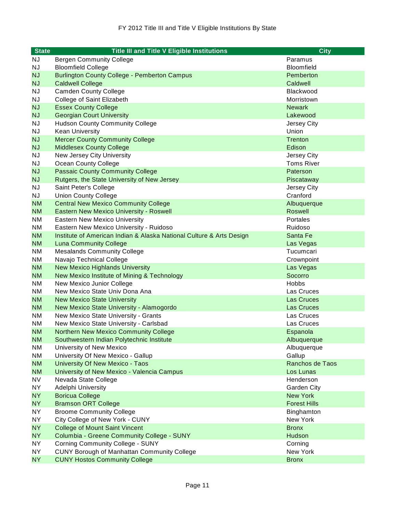| <b>State</b> | <b>Title III and Title V Eligible Institutions</b>                   | <b>City</b>         |
|--------------|----------------------------------------------------------------------|---------------------|
| ΝJ           | <b>Bergen Community College</b>                                      | Paramus             |
| <b>NJ</b>    | <b>Bloomfield College</b>                                            | <b>Bloomfield</b>   |
| <b>NJ</b>    | <b>Burlington County College - Pemberton Campus</b>                  | Pemberton           |
| <b>NJ</b>    | <b>Caldwell College</b>                                              | Caldwell            |
| <b>NJ</b>    | <b>Camden County College</b>                                         | <b>Blackwood</b>    |
| <b>NJ</b>    | College of Saint Elizabeth                                           | Morristown          |
| <b>NJ</b>    | <b>Essex County College</b>                                          | <b>Newark</b>       |
| <b>NJ</b>    | <b>Georgian Court University</b>                                     | Lakewood            |
| <b>NJ</b>    | <b>Hudson County Community College</b>                               | Jersey City         |
| <b>NJ</b>    | <b>Kean University</b>                                               | Union               |
| <b>NJ</b>    | <b>Mercer County Community College</b>                               | Trenton             |
| <b>NJ</b>    | <b>Middlesex County College</b>                                      | Edison              |
| <b>NJ</b>    | New Jersey City University                                           | Jersey City         |
| <b>NJ</b>    | Ocean County College                                                 | <b>Toms River</b>   |
| <b>NJ</b>    | <b>Passaic County Community College</b>                              | Paterson            |
| <b>NJ</b>    | Rutgers, the State University of New Jersey                          | Piscataway          |
| <b>NJ</b>    | Saint Peter's College                                                | Jersey City         |
| <b>NJ</b>    | <b>Union County College</b>                                          | Cranford            |
| <b>NM</b>    | <b>Central New Mexico Community College</b>                          | Albuquerque         |
| <b>NM</b>    | <b>Eastern New Mexico University - Roswell</b>                       | <b>Roswell</b>      |
| ΝM           | <b>Eastern New Mexico University</b>                                 | Portales            |
| <b>NM</b>    | Eastern New Mexico University - Ruidoso                              | Ruidoso             |
| <b>NM</b>    | Institute of American Indian & Alaska National Culture & Arts Design | Santa Fe            |
| <b>NM</b>    | <b>Luna Community College</b>                                        | Las Vegas           |
| <b>NM</b>    | <b>Mesalands Community College</b>                                   | Tucumcari           |
| ΝM           | Navajo Technical College                                             | Crownpoint          |
| <b>NM</b>    | <b>New Mexico Highlands University</b>                               | Las Vegas           |
| <b>NM</b>    | New Mexico Institute of Mining & Technology                          | Socorro             |
| <b>NM</b>    | New Mexico Junior College                                            | <b>Hobbs</b>        |
| ΝM           | New Mexico State Univ Dona Ana                                       | Las Cruces          |
| <b>NM</b>    | <b>New Mexico State University</b>                                   | Las Cruces          |
| <b>NM</b>    | New Mexico State University - Alamogordo                             | <b>Las Cruces</b>   |
| ΝM           | New Mexico State University - Grants                                 | Las Cruces          |
| ΝM           | New Mexico State University - Carlsbad                               | Las Cruces          |
| <b>NM</b>    | <b>Northern New Mexico Community College</b>                         | Espanola            |
| <b>NM</b>    | Southwestern Indian Polytechnic Institute                            | Albuquerque         |
| <b>NM</b>    | University of New Mexico                                             | Albuquerque         |
| <b>NM</b>    | University Of New Mexico - Gallup                                    | Gallup              |
| <b>NM</b>    | University Of New Mexico - Taos                                      | Ranchos de Taos     |
| <b>NM</b>    | University of New Mexico - Valencia Campus                           | Los Lunas           |
| <b>NV</b>    | Nevada State College                                                 | Henderson           |
| <b>NY</b>    | Adelphi University                                                   | <b>Garden City</b>  |
| <b>NY</b>    | <b>Boricua College</b>                                               | <b>New York</b>     |
| <b>NY</b>    | <b>Bramson ORT College</b>                                           | <b>Forest Hills</b> |
| NY           | <b>Broome Community College</b>                                      | Binghamton          |
| <b>NY</b>    | City College of New York - CUNY                                      | New York            |
| <b>NY</b>    | <b>College of Mount Saint Vincent</b>                                | <b>Bronx</b>        |
| <b>NY</b>    | Columbia - Greene Community College - SUNY                           | Hudson              |
| NY.          | <b>Corning Community College - SUNY</b>                              | Corning             |
| <b>NY</b>    | <b>CUNY Borough of Manhattan Community College</b>                   | New York            |
| <b>NY</b>    | <b>CUNY Hostos Community College</b>                                 | <b>Bronx</b>        |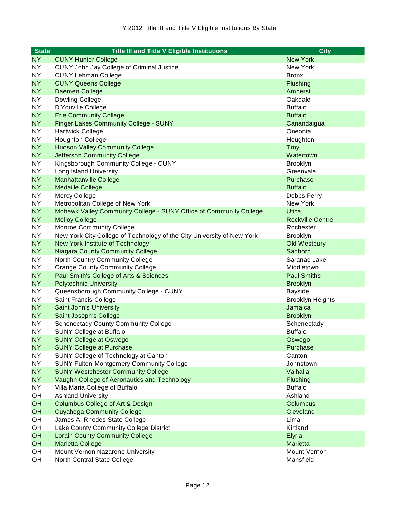| <b>State</b> | <b>Title III and Title V Eligible Institutions</b>                     | <b>City</b>             |
|--------------|------------------------------------------------------------------------|-------------------------|
| NY.          | <b>CUNY Hunter College</b>                                             | <b>New York</b>         |
| <b>NY</b>    | CUNY John Jay College of Criminal Justice                              | New York                |
| NY.          | <b>CUNY Lehman College</b>                                             | <b>Bronx</b>            |
| <b>NY</b>    | <b>CUNY Queens College</b>                                             | <b>Flushing</b>         |
| <b>NY</b>    | Daemen College                                                         | Amherst                 |
| <b>NY</b>    | Dowling College                                                        | Oakdale                 |
| <b>NY</b>    | D'Youville College                                                     | <b>Buffalo</b>          |
| <b>NY</b>    | <b>Erie Community College</b>                                          | <b>Buffalo</b>          |
| <b>NY</b>    | <b>Finger Lakes Community College - SUNY</b>                           | Canandaigua             |
| <b>NY</b>    | <b>Hartwick College</b>                                                | Oneonta                 |
| <b>NY</b>    | <b>Houghton College</b>                                                | Houghton                |
| <b>NY</b>    | <b>Hudson Valley Community College</b>                                 | <b>Troy</b>             |
| <b>NY</b>    | <b>Jefferson Community College</b>                                     | Watertown               |
| <b>NY</b>    | Kingsborough Community College - CUNY                                  | <b>Brooklyn</b>         |
| <b>NY</b>    | Long Island University                                                 | Greenvale               |
| <b>NY</b>    | <b>Manhattanville College</b>                                          | Purchase                |
| <b>NY</b>    | <b>Medaille College</b>                                                | <b>Buffalo</b>          |
| <b>NY</b>    | Mercy College                                                          | Dobbs Ferry             |
| <b>NY</b>    | Metropolitan College of New York                                       | New York                |
| <b>NY</b>    | Mohawk Valley Community College - SUNY Office of Community College     | <b>Utica</b>            |
| <b>NY</b>    | <b>Molloy College</b>                                                  | <b>Rockville Centre</b> |
| <b>NY</b>    | <b>Monroe Community College</b>                                        | Rochester               |
| <b>NY</b>    | New York City College of Technology of the City University of New York | <b>Brooklyn</b>         |
| <b>NY</b>    | <b>New York Institute of Technology</b>                                | Old Westbury            |
| <b>NY</b>    | <b>Niagara County Community College</b>                                | Sanborn                 |
| <b>NY</b>    | North Country Community College                                        | Saranac Lake            |
| <b>NY</b>    | <b>Orange County Community College</b>                                 | Middletown              |
| <b>NY</b>    | Paul Smith's College of Arts & Sciences                                | <b>Paul Smiths</b>      |
| <b>NY</b>    | <b>Polytechnic University</b>                                          | <b>Brooklyn</b>         |
| <b>NY</b>    | Queensborough Community College - CUNY                                 | <b>Bayside</b>          |
| <b>NY</b>    | Saint Francis College                                                  | <b>Brooklyn Heights</b> |
| <b>NY</b>    | <b>Saint John's University</b>                                         | Jamaica                 |
| <b>NY</b>    | Saint Joseph's College                                                 | <b>Brooklyn</b>         |
| NY.          | <b>Schenectady County Community College</b>                            | Schenectady             |
| <b>NY</b>    | <b>SUNY College at Buffalo</b>                                         | <b>Buffalo</b>          |
| <b>NY</b>    | <b>SUNY College at Oswego</b>                                          | Oswego                  |
| <b>NY</b>    | <b>SUNY College at Purchase</b>                                        | Purchase                |
| <b>NY</b>    | SUNY College of Technology at Canton                                   | Canton                  |
| <b>NY</b>    | <b>SUNY Fulton-Montgomery Community College</b>                        | Johnstown               |
| <b>NY</b>    | <b>SUNY Westchester Community College</b>                              | Valhalla                |
| <b>NY</b>    | Vaughn College of Aeronautics and Technology                           | <b>Flushing</b>         |
| NY           | Villa Maria College of Buffalo                                         | <b>Buffalo</b>          |
| OH           | <b>Ashland University</b>                                              | Ashland                 |
| OH           | <b>Columbus College of Art &amp; Design</b>                            | Columbus                |
| <b>OH</b>    | <b>Cuyahoga Community College</b>                                      | Cleveland               |
| OH           | James A. Rhodes State College                                          | Lima                    |
| OH           | Lake County Community College District                                 | Kirtland                |
| <b>OH</b>    | <b>Lorain County Community College</b>                                 | Elyria                  |
| <b>OH</b>    | <b>Marietta College</b>                                                | <b>Marietta</b>         |
| OH           | Mount Vernon Nazarene University                                       | Mount Vernon            |
| OH           | North Central State College                                            | Mansfield               |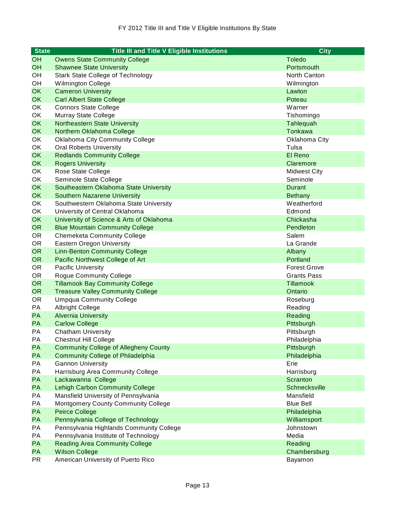| <b>State</b> | <b>Title III and Title V Eligible Institutions</b> | <b>City</b>         |
|--------------|----------------------------------------------------|---------------------|
| <b>OH</b>    | <b>Owens State Community College</b>               | <b>Toledo</b>       |
| OH           | <b>Shawnee State University</b>                    | Portsmouth          |
| OH           | <b>Stark State College of Technology</b>           | North Canton        |
| OH           | Wilmington College                                 | Wilmington          |
| <b>OK</b>    | <b>Cameron University</b>                          | Lawton              |
| <b>OK</b>    | <b>Carl Albert State College</b>                   | Poteau              |
| OK           | <b>Connors State College</b>                       | Warner              |
| OK           | Murray State College                               | Tishomingo          |
| <b>OK</b>    | <b>Northeastern State University</b>               | Tahlequah           |
| <b>OK</b>    | Northern Oklahoma College                          | <b>Tonkawa</b>      |
| OK           | <b>Oklahoma City Community College</b>             | Oklahoma City       |
| OK           | <b>Oral Roberts University</b>                     | Tulsa               |
| <b>OK</b>    | <b>Redlands Community College</b>                  | El Reno             |
| <b>OK</b>    | <b>Rogers University</b>                           | Claremore           |
| OK           | Rose State College                                 | <b>Midwest City</b> |
| OK           | Seminole State College                             | Seminole            |
| <b>OK</b>    | Southeastern Oklahoma State University             | <b>Durant</b>       |
| <b>OK</b>    | <b>Southern Nazarene University</b>                | <b>Bethany</b>      |
| OK           | Southwestern Oklahoma State University             | Weatherford         |
| OK           | University of Central Oklahoma                     | Edmond              |
| <b>OK</b>    | University of Science & Arts of Oklahoma           | Chickasha           |
| <b>OR</b>    | <b>Blue Mountain Community College</b>             | Pendleton           |
| <b>OR</b>    | <b>Chemeketa Community College</b>                 | Salem               |
| <b>OR</b>    | <b>Eastern Oregon University</b>                   | La Grande           |
| <b>OR</b>    | <b>Linn-Benton Community College</b>               | Albany              |
| <b>OR</b>    | Pacific Northwest College of Art                   | Portland            |
| <b>OR</b>    | <b>Pacific University</b>                          | <b>Forest Grove</b> |
| <b>OR</b>    | <b>Rogue Community College</b>                     | <b>Grants Pass</b>  |
| <b>OR</b>    | <b>Tillamook Bay Community College</b>             | <b>Tillamook</b>    |
| <b>OR</b>    | <b>Treasure Valley Community College</b>           | Ontario             |
| <b>OR</b>    | <b>Umpqua Community College</b>                    | Roseburg            |
| PA           | Albright College                                   | Reading             |
| PA           | <b>Alvernia University</b>                         | Reading             |
| <b>PA</b>    | <b>Carlow College</b>                              | Pittsburgh          |
| <b>PA</b>    | <b>Chatham University</b>                          | Pittsburgh          |
| PA           | <b>Chestnut Hill College</b>                       | Philadelphia        |
| PA           | <b>Community College of Allegheny County</b>       | Pittsburgh          |
| PA           | <b>Community College of Philadelphia</b>           | Philadelphia        |
| PA           | <b>Gannon University</b>                           | Erie                |
| PA           | Harrisburg Area Community College                  | Harrisburg          |
| PA           | Lackawanna College                                 | Scranton            |
| PA           | <b>Lehigh Carbon Community College</b>             | Schnecksville       |
| PA           | Mansfield University of Pennsylvania               | Mansfield           |
| PA           | Montgomery County Community College                | <b>Blue Bell</b>    |
| PA           | <b>Peirce College</b>                              | Philadelphia        |
| PA           | Pennsylvania College of Technology                 | Williamsport        |
| PA           | Pennsylvania Highlands Community College           | Johnstown           |
| PA           | Pennsylvania Institute of Technology               | Media               |
| PA           | <b>Reading Area Community College</b>              | Reading             |
| PA           | <b>Wilson College</b>                              | Chambersburg        |
| <b>PR</b>    | American University of Puerto Rico                 | Bayamon             |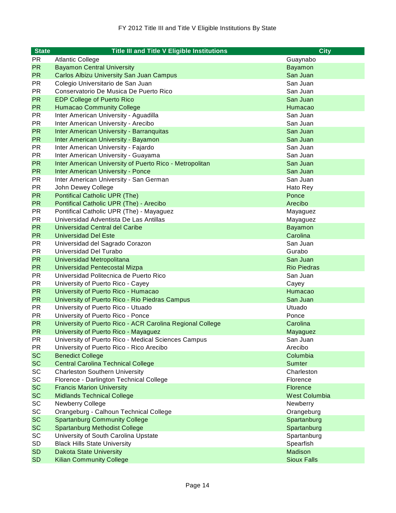| <b>State</b> | <b>Title III and Title V Eligible Institutions</b>        | <b>City</b>          |
|--------------|-----------------------------------------------------------|----------------------|
| <b>PR</b>    | <b>Atlantic College</b>                                   | Guaynabo             |
| <b>PR</b>    | <b>Bayamon Central University</b>                         | Bayamon              |
| <b>PR</b>    | <b>Carlos Albizu University San Juan Campus</b>           | San Juan             |
| <b>PR</b>    | Colegio Universitario de San Juan                         | San Juan             |
| <b>PR</b>    | Conservatorio De Musica De Puerto Rico                    | San Juan             |
| <b>PR</b>    | <b>EDP College of Puerto Rico</b>                         | San Juan             |
| <b>PR</b>    | <b>Humacao Community College</b>                          | Humacao              |
| <b>PR</b>    | Inter American University - Aguadilla                     | San Juan             |
| <b>PR</b>    | Inter American University - Arecibo                       | San Juan             |
| <b>PR</b>    | <b>Inter American University - Barranquitas</b>           | San Juan             |
| <b>PR</b>    | Inter American University - Bayamon                       | San Juan             |
| <b>PR</b>    | Inter American University - Fajardo                       | San Juan             |
| <b>PR</b>    | Inter American University - Guayama                       | San Juan             |
| <b>PR</b>    | Inter American University of Puerto Rico - Metropolitan   | San Juan             |
| <b>PR</b>    | <b>Inter American University - Ponce</b>                  | San Juan             |
| <b>PR</b>    | Inter American University - San German                    | San Juan             |
| <b>PR</b>    | John Dewey College                                        | Hato Rey             |
| <b>PR</b>    | <b>Pontifical Catholic UPR (The)</b>                      | Ponce                |
| <b>PR</b>    | Pontifical Catholic UPR (The) - Arecibo                   | Arecibo              |
| <b>PR</b>    | Pontifical Catholic UPR (The) - Mayaguez                  | Mayaguez             |
| <b>PR</b>    | Universidad Adventista De Las Antillas                    | Mayaguez             |
| <b>PR</b>    | Universidad Central del Caribe                            | Bayamon              |
| <b>PR</b>    | <b>Universidad Del Este</b>                               | Carolina             |
| <b>PR</b>    | Universidad del Sagrado Corazon                           | San Juan             |
| <b>PR</b>    | Universidad Del Turabo                                    | Gurabo               |
| <b>PR</b>    | <b>Universidad Metropolitana</b>                          | San Juan             |
| <b>PR</b>    | Universidad Pentecostal Mizpa                             | <b>Rio Piedras</b>   |
| <b>PR</b>    | Universidad Politecnica de Puerto Rico                    | San Juan             |
| <b>PR</b>    | University of Puerto Rico - Cayey                         | Cayey                |
| <b>PR</b>    | University of Puerto Rico - Humacao                       | Humacao              |
| <b>PR</b>    | University of Puerto Rico - Rio Piedras Campus            | San Juan             |
| <b>PR</b>    | University of Puerto Rico - Utuado                        | Utuado               |
| <b>PR</b>    | University of Puerto Rico - Ponce                         | Ponce                |
| <b>PR</b>    | University of Puerto Rico - ACR Carolina Regional College | Carolina             |
| <b>PR</b>    | University of Puerto Rico - Mayaguez                      | Mayaguez             |
| PR           | University of Puerto Rico - Medical Sciences Campus       | San Juan             |
| <b>PR</b>    | University of Puerto Rico - Rico Arecibo                  | Arecibo              |
| <b>SC</b>    | <b>Benedict College</b>                                   | Columbia             |
| <b>SC</b>    | <b>Central Carolina Technical College</b>                 | <b>Sumter</b>        |
| SC           | <b>Charleston Southern University</b>                     | Charleston           |
| SC           | Florence - Darlington Technical College                   | Florence             |
| <b>SC</b>    | <b>Francis Marion University</b>                          | Florence             |
| <b>SC</b>    | <b>Midlands Technical College</b>                         | <b>West Columbia</b> |
| SC           | Newberry College                                          | Newberry             |
| SC           | Orangeburg - Calhoun Technical College                    | Orangeburg           |
| <b>SC</b>    | <b>Spartanburg Community College</b>                      | Spartanburg          |
| <b>SC</b>    | <b>Spartanburg Methodist College</b>                      | Spartanburg          |
| SC           | University of South Carolina Upstate                      | Spartanburg          |
| SD           | <b>Black Hills State University</b>                       | Spearfish            |
| <b>SD</b>    | <b>Dakota State University</b>                            | Madison              |
| <b>SD</b>    | <b>Kilian Community College</b>                           | <b>Sioux Falls</b>   |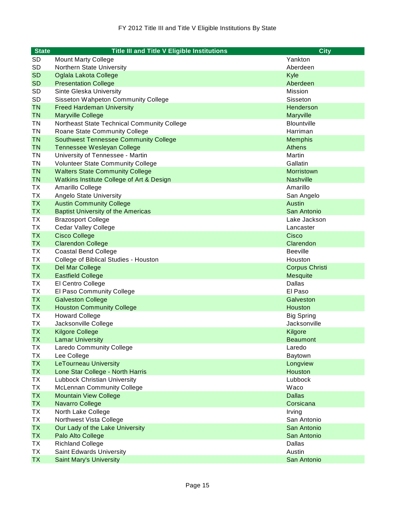| <b>State</b> | <b>Title III and Title V Eligible Institutions</b> | <b>City</b>           |
|--------------|----------------------------------------------------|-----------------------|
| SD           | <b>Mount Marty College</b>                         | Yankton               |
| SD           | Northern State University                          | Aberdeen              |
| <b>SD</b>    | Oglala Lakota College                              | Kyle                  |
| <b>SD</b>    | <b>Presentation College</b>                        | Aberdeen              |
| SD           | Sinte Gleska University                            | Mission               |
| <b>SD</b>    | Sisseton Wahpeton Community College                | Sisseton              |
| <b>TN</b>    | <b>Freed Hardeman University</b>                   | Henderson             |
| <b>TN</b>    | <b>Maryville College</b>                           | Maryville             |
| <b>TN</b>    | Northeast State Technical Community College        | <b>Blountville</b>    |
| <b>TN</b>    | Roane State Community College                      | Harriman              |
| <b>TN</b>    | <b>Southwest Tennessee Community College</b>       | <b>Memphis</b>        |
| <b>TN</b>    | Tennessee Wesleyan College                         | <b>Athens</b>         |
| <b>TN</b>    | University of Tennessee - Martin                   | Martin                |
| <b>TN</b>    | Volunteer State Community College                  | Gallatin              |
| <b>TN</b>    | <b>Walters State Community College</b>             | Morristown            |
| <b>TN</b>    | Watkins Institute College of Art & Design          | <b>Nashville</b>      |
| TX           | Amarillo College                                   | Amarillo              |
| TX           | Angelo State University                            | San Angelo            |
| <b>TX</b>    | <b>Austin Community College</b>                    | Austin                |
| <b>TX</b>    | <b>Baptist University of the Americas</b>          | San Antonio           |
| ТX           | <b>Brazosport College</b>                          | Lake Jackson          |
| TX           | Cedar Valley College                               | Lancaster             |
| <b>TX</b>    | <b>Cisco College</b>                               | Cisco                 |
| <b>TX</b>    | <b>Clarendon College</b>                           | Clarendon             |
| TX           | <b>Coastal Bend College</b>                        | <b>Beeville</b>       |
| TX           | College of Biblical Studies - Houston              | Houston               |
| <b>TX</b>    | Del Mar College                                    | <b>Corpus Christi</b> |
| <b>TX</b>    | <b>Eastfield College</b>                           | <b>Mesquite</b>       |
| TX           | El Centro College                                  | Dallas                |
| TX           | El Paso Community College                          | El Paso               |
| <b>TX</b>    | <b>Galveston College</b>                           | Galveston             |
| <b>TX</b>    | <b>Houston Community College</b>                   | Houston               |
| TX           | <b>Howard College</b>                              | <b>Big Spring</b>     |
| ТX           | Jacksonville College                               | Jacksonville          |
| <b>TX</b>    | <b>Kilgore College</b>                             | Kilgore               |
| <b>TX</b>    | <b>Lamar University</b>                            | <b>Beaumont</b>       |
| TX           | Laredo Community College                           | Laredo                |
| <b>TX</b>    | Lee College                                        | Baytown               |
| <b>TX</b>    | <b>LeTourneau University</b>                       | Longview              |
| <b>TX</b>    | Lone Star College - North Harris                   | Houston               |
| TX           | <b>Lubbock Christian University</b>                | Lubbock               |
| TX           | <b>McLennan Community College</b>                  | Waco                  |
| <b>TX</b>    | <b>Mountain View College</b>                       | <b>Dallas</b>         |
| <b>TX</b>    | Navarro College                                    | Corsicana             |
| TX           | North Lake College                                 | Irving                |
| TX           | Northwest Vista College                            | San Antonio           |
| <b>TX</b>    | Our Lady of the Lake University                    | San Antonio           |
| <b>TX</b>    | Palo Alto College                                  | San Antonio           |
| TX           | <b>Richland College</b>                            | Dallas                |
| TX           | Saint Edwards University                           | Austin                |
| <b>TX</b>    | <b>Saint Mary's University</b>                     | San Antonio           |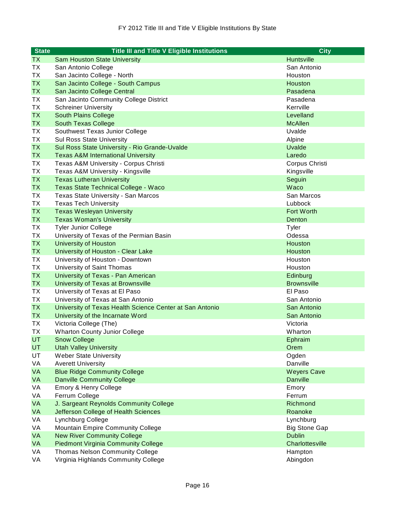| <b>State</b> | <b>Title III and Title V Eligible Institutions</b>       | <b>City</b>          |
|--------------|----------------------------------------------------------|----------------------|
| TX.          | <b>Sam Houston State University</b>                      | Huntsville           |
| <b>TX</b>    | San Antonio College                                      | San Antonio          |
| <b>TX</b>    | San Jacinto College - North                              | Houston              |
| <b>TX</b>    | San Jacinto College - South Campus                       | Houston              |
| <b>TX</b>    | San Jacinto College Central                              | Pasadena             |
| <b>TX</b>    | San Jacinto Community College District                   | Pasadena             |
| <b>TX</b>    | <b>Schreiner University</b>                              | Kerrville            |
| <b>TX</b>    | <b>South Plains College</b>                              | Levelland            |
| <b>TX</b>    | <b>South Texas College</b>                               | <b>McAllen</b>       |
| <b>TX</b>    | Southwest Texas Junior College                           | Uvalde               |
| TX           | <b>Sul Ross State University</b>                         | Alpine               |
| <b>TX</b>    | Sul Ross State University - Rio Grande-Uvalde            | Uvalde               |
| <b>TX</b>    | <b>Texas A&amp;M International University</b>            | Laredo               |
| TX           | Texas A&M University - Corpus Christi                    | Corpus Christi       |
| <b>TX</b>    | Texas A&M University - Kingsville                        | Kingsville           |
| <b>TX</b>    | <b>Texas Lutheran University</b>                         | Seguin               |
| <b>TX</b>    | Texas State Technical College - Waco                     | Waco                 |
| <b>TX</b>    | Texas State University - San Marcos                      | San Marcos           |
| <b>TX</b>    | <b>Texas Tech University</b>                             | Lubbock              |
| <b>TX</b>    | <b>Texas Wesleyan University</b>                         | <b>Fort Worth</b>    |
| <b>TX</b>    | <b>Texas Woman's University</b>                          | Denton               |
| <b>TX</b>    | <b>Tyler Junior College</b>                              | Tyler                |
| <b>TX</b>    | University of Texas of the Permian Basin                 | Odessa               |
| <b>TX</b>    | <b>University of Houston</b>                             | Houston              |
| <b>TX</b>    | University of Houston - Clear Lake                       | Houston              |
| <b>TX</b>    | University of Houston - Downtown                         | Houston              |
| <b>TX</b>    | University of Saint Thomas                               | Houston              |
| <b>TX</b>    | University of Texas - Pan American                       | Edinburg             |
| <b>TX</b>    | University of Texas at Brownsville                       | <b>Brownsville</b>   |
| TX           | University of Texas at El Paso                           | El Paso              |
| <b>TX</b>    | University of Texas at San Antonio                       | San Antonio          |
| <b>TX</b>    | University of Texas Health Science Center at San Antonio | San Antonio          |
| <b>TX</b>    | University of the Incarnate Word                         | San Antonio          |
| <b>TX</b>    | Victoria College (The)                                   | Victoria             |
| <b>TX</b>    | <b>Wharton County Junior College</b>                     | Wharton              |
| UT           | <b>Snow College</b>                                      | Ephraim              |
| <b>UT</b>    | <b>Utah Valley University</b>                            | Orem                 |
| UT           | <b>Weber State University</b>                            | Ogden                |
| VA           | <b>Averett University</b>                                | Danville             |
| <b>VA</b>    | <b>Blue Ridge Community College</b>                      | <b>Weyers Cave</b>   |
| VA           | <b>Danville Community College</b>                        | <b>Danville</b>      |
| VA           | Emory & Henry College                                    | Emory                |
| VA           | Ferrum College                                           | Ferrum               |
| VA           | J. Sargeant Reynolds Community College                   | Richmond             |
| VA           | Jefferson College of Health Sciences                     | Roanoke              |
| VA           | Lynchburg College                                        | Lynchburg            |
| VA           | Mountain Empire Community College                        | <b>Big Stone Gap</b> |
| VA           | <b>New River Community College</b>                       | <b>Dublin</b>        |
| VA           | <b>Piedmont Virginia Community College</b>               | Charlottesville      |
| VA           | <b>Thomas Nelson Community College</b>                   | Hampton              |
| VA           | Virginia Highlands Community College                     | Abingdon             |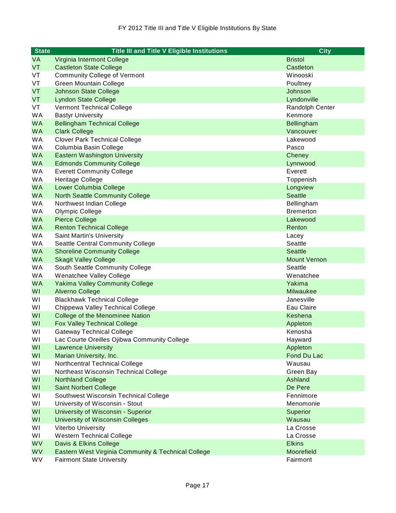| <b>State</b> | <b>Title III and Title V Eligible Institutions</b>  | <b>City</b>         |
|--------------|-----------------------------------------------------|---------------------|
| <b>VA</b>    | Virginia Intermont College                          | <b>Bristol</b>      |
| <b>VT</b>    | <b>Castleton State College</b>                      | Castleton           |
| VT           | <b>Community College of Vermont</b>                 | Winooski            |
| VT           | <b>Green Mountain College</b>                       | Poultney            |
| VT           | <b>Johnson State College</b>                        | Johnson             |
| <b>VT</b>    | <b>Lyndon State College</b>                         | Lyndonville         |
| VT           | Vermont Technical College                           | Randolph Center     |
| <b>WA</b>    | <b>Bastyr University</b>                            | Kenmore             |
| <b>WA</b>    | <b>Bellingham Technical College</b>                 | Bellingham          |
| <b>WA</b>    | <b>Clark College</b>                                | Vancouver           |
| <b>WA</b>    | <b>Clover Park Technical College</b>                | Lakewood            |
| <b>WA</b>    | Columbia Basin College                              | Pasco               |
| <b>WA</b>    | <b>Eastern Washington University</b>                | Cheney              |
| <b>WA</b>    | <b>Edmonds Community College</b>                    | Lynnwood            |
| <b>WA</b>    | <b>Everett Community College</b>                    | Everett             |
| WA           | Heritage College                                    | Toppenish           |
| <b>WA</b>    | Lower Columbia College                              | Longview            |
| <b>WA</b>    | <b>North Seattle Community College</b>              | <b>Seattle</b>      |
| <b>WA</b>    | Northwest Indian College                            | Bellingham          |
| <b>WA</b>    | Olympic College                                     | <b>Bremerton</b>    |
| <b>WA</b>    | <b>Pierce College</b>                               | Lakewood            |
| <b>WA</b>    | <b>Renton Technical College</b>                     | Renton              |
| <b>WA</b>    | Saint Martin's University                           | Lacey               |
| WA           | Seattle Central Community College                   | Seattle             |
| <b>WA</b>    | <b>Shoreline Community College</b>                  | <b>Seattle</b>      |
| <b>WA</b>    | <b>Skagit Valley College</b>                        | <b>Mount Vernon</b> |
| <b>WA</b>    | South Seattle Community College                     | Seattle             |
| <b>WA</b>    | Wenatchee Valley College                            | Wenatchee           |
| <b>WA</b>    | <b>Yakima Valley Community College</b>              | Yakima              |
| WI           | <b>Alverno College</b>                              | Milwaukee           |
| WI           | <b>Blackhawk Technical College</b>                  | Janesville          |
| WI           | Chippewa Valley Technical College                   | Eau Claire          |
| WI           | College of the Menominee Nation                     | Keshena             |
| <b>WI</b>    | <b>Fox Valley Technical College</b>                 | Appleton            |
| WI           | <b>Gateway Technical College</b>                    | Kenosha             |
| WI           | Lac Courte Oreilles Ojibwa Community College        | Hayward             |
| WI           | <b>Lawrence University</b>                          | Appleton            |
| WI           | Marian University, Inc.                             | Fond Du Lac         |
| WI           | Northcentral Technical College                      | Wausau              |
| WI           | Northeast Wisconsin Technical College               | Green Bay           |
| WI           | <b>Northland College</b>                            | Ashland             |
| WI           | <b>Saint Norbert College</b>                        | De Pere             |
| WI           | Southwest Wisconsin Technical College               | Fennimore           |
| WI           | University of Wisconsin - Stout                     | Menomonie           |
| WI           | University of Wisconsin - Superior                  | Superior            |
| WI           | <b>University of Wisconsin Colleges</b>             | Wausau              |
| WI           | Viterbo University                                  | La Crosse           |
| WI           | <b>Western Technical College</b>                    | La Crosse           |
| <b>WV</b>    | Davis & Elkins College                              | <b>Elkins</b>       |
| <b>WV</b>    | Eastern West Virginia Community & Technical College | Moorefield          |
| WV           | <b>Fairmont State University</b>                    | Fairmont            |